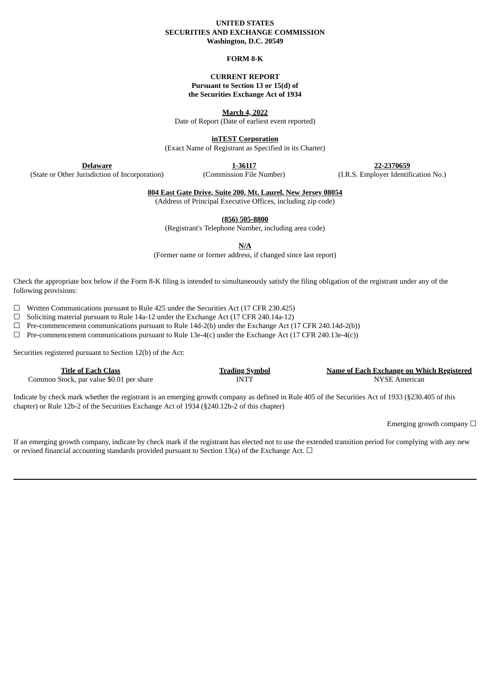#### **UNITED STATES SECURITIES AND EXCHANGE COMMISSION Washington, D.C. 20549**

## **FORM 8-K**

## **CURRENT REPORT Pursuant to Section 13 or 15(d) of the Securities Exchange Act of 1934**

**March 4, 2022**

Date of Report (Date of earliest event reported)

**inTEST Corporation**

(Exact Name of Registrant as Specified in its Charter)

**Delaware** (State or Other Jurisdiction of Incorporation)

**1-36117** (Commission File Number)

**22-2370659** (I.R.S. Employer Identification No.)

**804 East Gate Drive, Suite 200, Mt. Laurel, New Jersey 08054**

(Address of Principal Executive Offices, including zip code)

**(856) 505-8800**

(Registrant's Telephone Number, including area code)

**N/A**

(Former name or former address, if changed since last report)

Check the appropriate box below if the Form 8-K filing is intended to simultaneously satisfy the filing obligation of the registrant under any of the following provisions:

☐ Written Communications pursuant to Rule 425 under the Securities Act (17 CFR 230.425)

 $\Box$  Soliciting material pursuant to Rule 14a-12 under the Exchange Act (17 CFR 240.14a-12)

 $\Box$  Pre-commencement communications pursuant to Rule 14d-2(b) under the Exchange Act (17 CFR 240.14d-2(b))

 $\Box$  Pre-commencement communications pursuant to Rule 13e-4(c) under the Exchange Act (17 CFR 240.13e-4(c))

Securities registered pursuant to Section 12(b) of the Act:

| Title of Each Class                      | <u>Trading Symbol</u> | Name of Each Exchange on Which Registered |
|------------------------------------------|-----------------------|-------------------------------------------|
| Common Stock, par value \$0.01 per share | INTT                  | NYSE American                             |

Indicate by check mark whether the registrant is an emerging growth company as defined in Rule 405 of the Securities Act of 1933 (§230.405 of this chapter) or Rule 12b-2 of the Securities Exchange Act of 1934 (§240.12b-2 of this chapter)

Emerging growth company  $\Box$ 

If an emerging growth company, indicate by check mark if the registrant has elected not to use the extended transition period for complying with any new or revised financial accounting standards provided pursuant to Section 13(a) of the Exchange Act.  $\Box$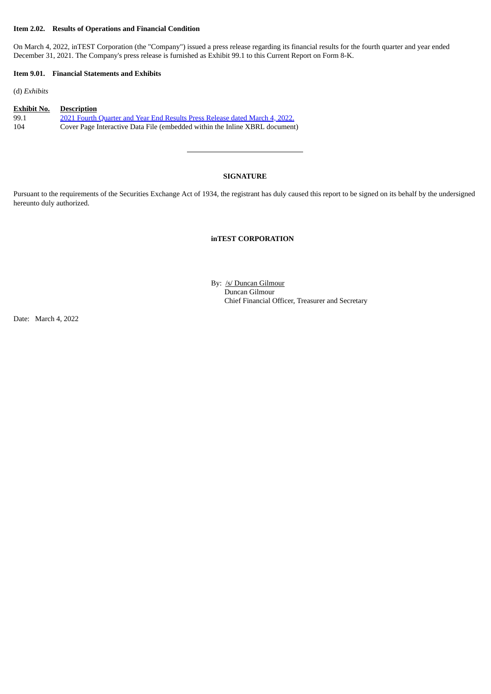#### **Item 2.02. Results of Operations and Financial Condition**

On March 4, 2022, inTEST Corporation (the "Company") issued a press release regarding its financial results for the fourth quarter and year ended December 31, 2021. The Company's press release is furnished as Exhibit 99.1 to this Current Report on Form 8-K.

#### **Item 9.01. Financial Statements and Exhibits**

(d) *Exhibits*

| <b>Exhibit No.</b> | <b>Description</b>                                                          |
|--------------------|-----------------------------------------------------------------------------|
| 99.1               | 2021 Fourth Quarter and Year End Results Press Release dated March 4, 2022. |
| 104                | Cover Page Interactive Data File (embedded within the Inline XBRL document) |

## **SIGNATURE**

Pursuant to the requirements of the Securities Exchange Act of 1934, the registrant has duly caused this report to be signed on its behalf by the undersigned hereunto duly authorized.

## **inTEST CORPORATION**

By: /s/ Duncan Gilmour Duncan Gilmour Chief Financial Officer, Treasurer and Secretary

Date: March 4, 2022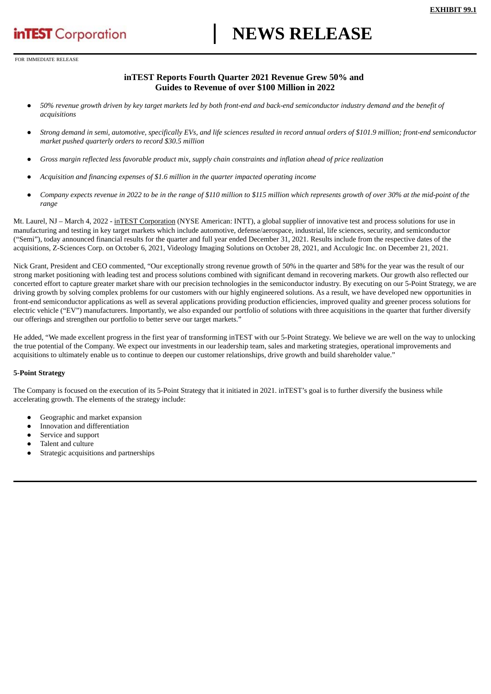# **NEWS RELEASE**

<span id="page-2-0"></span>FOR IMMEDIATE RELEASE

## **inTEST Reports Fourth Quarter 2021 Revenue Grew 50% and Guides to Revenue of over \$100 Million in 2022**

- 50% revenue growth driven by key target markets led by both front-end and back-end semiconductor industry demand and the benefit of *acquisitions*
- Strong demand in semi, automotive, specifically EVs, and life sciences resulted in record annual orders of \$101.9 million; front-end semiconductor *market pushed quarterly orders to record \$30.5 million*
- Gross margin reflected less favorable product mix, supply chain constraints and inflation ahead of price realization
- *Acquisition and financing expenses of \$1.6 million in the quarter impacted operating income*
- Company expects revenue in 2022 to be in the range of \$110 million to \$115 million which represents growth of over 30% at the mid-point of the *range*

Mt. Laurel, NJ – March 4, 2022 - inTEST Corporation (NYSE American: INTT), a global supplier of innovative test and process solutions for use in manufacturing and testing in key target markets which include automotive, defense/aerospace, industrial, life sciences, security, and semiconductor ("Semi"), today announced financial results for the quarter and full year ended December 31, 2021. Results include from the respective dates of the acquisitions, Z-Sciences Corp. on October 6, 2021, Videology Imaging Solutions on October 28, 2021, and Acculogic Inc. on December 21, 2021.

Nick Grant, President and CEO commented, "Our exceptionally strong revenue growth of 50% in the quarter and 58% for the year was the result of our strong market positioning with leading test and process solutions combined with significant demand in recovering markets. Our growth also reflected our concerted effort to capture greater market share with our precision technologies in the semiconductor industry. By executing on our 5-Point Strategy, we are driving growth by solving complex problems for our customers with our highly engineered solutions. As a result, we have developed new opportunities in front-end semiconductor applications as well as several applications providing production efficiencies, improved quality and greener process solutions for electric vehicle ("EV") manufacturers. Importantly, we also expanded our portfolio of solutions with three acquisitions in the quarter that further diversify our offerings and strengthen our portfolio to better serve our target markets."

He added, "We made excellent progress in the first year of transforming inTEST with our 5-Point Strategy. We believe we are well on the way to unlocking the true potential of the Company. We expect our investments in our leadership team, sales and marketing strategies, operational improvements and acquisitions to ultimately enable us to continue to deepen our customer relationships, drive growth and build shareholder value."

## **5-Point Strategy**

The Company is focused on the execution of its 5-Point Strategy that it initiated in 2021. inTEST's goal is to further diversify the business while accelerating growth. The elements of the strategy include:

- Geographic and market expansion
- Innovation and differentiation
- Service and support
- Talent and culture
- Strategic acquisitions and partnerships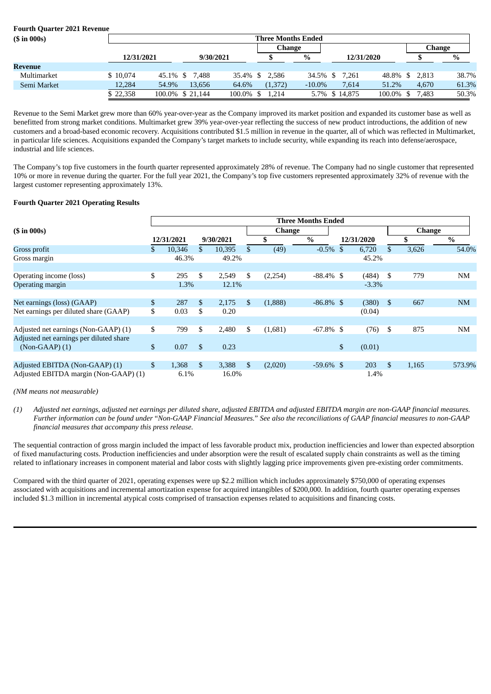| <b>Fourth Quarter 2021 Revenue</b> |                           |       |                  |              |                |           |  |                |              |  |       |       |
|------------------------------------|---------------------------|-------|------------------|--------------|----------------|-----------|--|----------------|--------------|--|-------|-------|
| $(S \in \{5000\})$                 | <b>Three Months Ended</b> |       |                  |              |                |           |  |                |              |  |       |       |
|                                    | Change<br>Change          |       |                  |              |                |           |  |                |              |  |       |       |
|                                    | 12/31/2021                |       | 9/30/2021        |              |                | %         |  | 12/31/2020     |              |  |       | $\%$  |
| Revenue                            |                           |       |                  |              |                |           |  |                |              |  |       |       |
| Multimarket                        | \$10,074                  |       | 45.1% \$ 7,488   |              | 35.4% \$ 2,586 |           |  | 34.5% \$ 7,261 | 48.8% \$     |  | 2.813 | 38.7% |
| Semi Market                        | 12,284                    | 54.9% | 13.656           | 64.6%        | (1,372)        | $-10.0\%$ |  | 7.614          | 51.2%        |  | 4.670 | 61.3% |
|                                    | \$22,358                  |       | 100.0% \$ 21,144 | $100.0\%$ \$ | 1.214          |           |  | 5.7% \$14,875  | $100.0\%$ \$ |  | 7.483 | 50.3% |

Revenue to the Semi Market grew more than 60% year-over-year as the Company improved its market position and expanded its customer base as well as benefitted from strong market conditions. Multimarket grew 39% year-over-year reflecting the success of new product introductions, the addition of new customers and a broad-based economic recovery. Acquisitions contributed \$1.5 million in revenue in the quarter, all of which was reflected in Multimarket, in particular life sciences. Acquisitions expanded the Company's target markets to include security, while expanding its reach into defense/aerospace, industrial and life sciences.

The Company's top five customers in the fourth quarter represented approximately 28% of revenue. The Company had no single customer that represented 10% or more in revenue during the quarter. For the full year 2021, the Company's top five customers represented approximately 32% of revenue with the largest customer representing approximately 13%.

## **Fourth Quarter 2021 Operating Results**

|                                         | <b>Three Months Ended</b> |            |     |           |               |         |              |    |            |              |               |           |  |  |  |
|-----------------------------------------|---------------------------|------------|-----|-----------|---------------|---------|--------------|----|------------|--------------|---------------|-----------|--|--|--|
| $(\sin 000s)$                           |                           |            |     |           |               | Change  |              |    |            |              | <b>Change</b> |           |  |  |  |
|                                         |                           | 12/31/2021 |     | 9/30/2021 |               | \$      | $\%$         |    | 12/31/2020 |              |               | $\%$      |  |  |  |
| Gross profit                            | \$                        | 10,346     | \$. | 10,395    | $\mathbb{S}$  | (49)    | $-0.5%$      | \$ | 6,720      | \$           | 3,626         | 54.0%     |  |  |  |
| Gross margin                            |                           | 46.3%      |     | 49.2%     |               |         |              |    | 45.2%      |              |               |           |  |  |  |
|                                         |                           |            |     |           |               |         |              |    |            |              |               |           |  |  |  |
| Operating income (loss)                 | \$                        | 295        | \$. | 2,549     | \$            | (2,254) | $-88.4\%$ \$ |    | (484)      | \$           | 779           | <b>NM</b> |  |  |  |
| Operating margin                        |                           | 1.3%       |     | 12.1%     |               |         |              |    | $-3.3%$    |              |               |           |  |  |  |
|                                         |                           |            |     |           |               |         |              |    |            |              |               |           |  |  |  |
| Net earnings (loss) (GAAP)              | \$                        | 287        | \$  | 2,175     | $\mathbb{S}$  | (1,888) | $-86.8\%$ \$ |    | (380)      | $\mathbb{S}$ | 667           | <b>NM</b> |  |  |  |
| Net earnings per diluted share (GAAP)   | \$                        | 0.03       | \$  | 0.20      |               |         |              |    | (0.04)     |              |               |           |  |  |  |
|                                         |                           |            |     |           |               |         |              |    |            |              |               |           |  |  |  |
| Adjusted net earnings (Non-GAAP) (1)    | \$                        | 799        | \$  | 2,480     | \$            | (1,681) | $-67.8\%$ \$ |    | (76)       | \$           | 875           | <b>NM</b> |  |  |  |
| Adjusted net earnings per diluted share |                           |            |     |           |               |         |              |    |            |              |               |           |  |  |  |
| $(Non-GAAP)$ (1)                        | \$                        | 0.07       | \$  | 0.23      |               |         |              | \$ | (0.01)     |              |               |           |  |  |  |
|                                         |                           |            |     |           |               |         |              |    |            |              |               |           |  |  |  |
| Adjusted EBITDA (Non-GAAP) (1)          | \$                        | 1,368      | \$  | 3,388     | <sup>\$</sup> | (2,020) | $-59.6\%$ \$ |    | 203        | $\mathbb{S}$ | 1,165         | 573.9%    |  |  |  |
| Adjusted EBITDA margin (Non-GAAP) (1)   |                           | 6.1%       |     | 16.0%     |               |         |              |    | 1.4%       |              |               |           |  |  |  |

*(NM means not measurable)*

(1) Adjusted net earnings, adjusted net earnings per diluted share, adjusted EBITDA and adjusted EBITDA margin are non-GAAP financial measures. Further information can be found under "Non-GAAP Financial Measures." See also the reconciliations of GAAP financial measures to non-GAAP *financial measures that accompany this press release.*

The sequential contraction of gross margin included the impact of less favorable product mix, production inefficiencies and lower than expected absorption of fixed manufacturing costs. Production inefficiencies and under absorption were the result of escalated supply chain constraints as well as the timing related to inflationary increases in component material and labor costs with slightly lagging price improvements given pre-existing order commitments.

Compared with the third quarter of 2021, operating expenses were up \$2.2 million which includes approximately \$750,000 of operating expenses associated with acquisitions and incremental amortization expense for acquired intangibles of \$200,000. In addition, fourth quarter operating expenses included \$1.3 million in incremental atypical costs comprised of transaction expenses related to acquisitions and financing costs.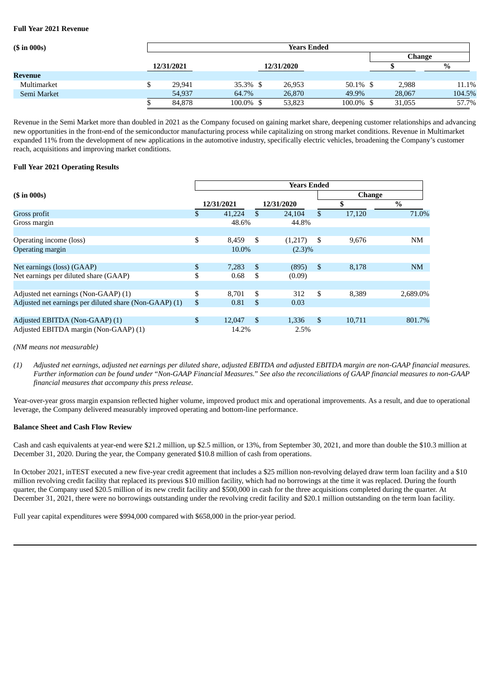#### **Full Year 2021 Revenue**

| $(S \in \{5000\})$ | <b>Years Ended</b> |            |           |  |            |           |        |        |  |  |  |
|--------------------|--------------------|------------|-----------|--|------------|-----------|--------|--------|--|--|--|
|                    |                    |            |           |  |            |           | Change |        |  |  |  |
|                    |                    | 12/31/2021 |           |  | 12/31/2020 |           |        | %      |  |  |  |
| Revenue            |                    |            |           |  |            |           |        |        |  |  |  |
| Multimarket        |                    | 29,941     | 35.3% \$  |  | 26,953     | 50.1% \$  | 2,988  | 11.1%  |  |  |  |
| Semi Market        |                    | 54,937     | 64.7%     |  | 26,870     | 49.9%     | 28,067 | 104.5% |  |  |  |
|                    |                    | 84,878     | 100.0% \$ |  | 53,823     | 100.0% \$ | 31,055 | 57.7%  |  |  |  |

Revenue in the Semi Market more than doubled in 2021 as the Company focused on gaining market share, deepening customer relationships and advancing new opportunities in the front-end of the semiconductor manufacturing process while capitalizing on strong market conditions. Revenue in Multimarket expanded 11% from the development of new applications in the automotive industry, specifically electric vehicles, broadening the Company's customer reach, acquisitions and improving market conditions.

## **Full Year 2021 Operating Results**

|                                                        | <b>Years Ended</b> |            |    |            |               |               |           |  |  |  |  |  |  |  |
|--------------------------------------------------------|--------------------|------------|----|------------|---------------|---------------|-----------|--|--|--|--|--|--|--|
| $(\sin 000s)$                                          |                    |            |    |            |               | <b>Change</b> |           |  |  |  |  |  |  |  |
|                                                        |                    | 12/31/2021 |    | 12/31/2020 |               | \$            | $\%$      |  |  |  |  |  |  |  |
| Gross profit                                           | \$.                | 41,224     | \$ | 24,104     | \$            | 17,120        | 71.0%     |  |  |  |  |  |  |  |
| Gross margin                                           |                    | 48.6%      |    | 44.8%      |               |               |           |  |  |  |  |  |  |  |
|                                                        |                    |            |    |            |               |               |           |  |  |  |  |  |  |  |
| Operating income (loss)                                | \$                 | 8,459      | \$ | (1,217)    | -\$           | 9,676         | <b>NM</b> |  |  |  |  |  |  |  |
| Operating margin                                       |                    | 10.0%      |    | $(2.3)\%$  |               |               |           |  |  |  |  |  |  |  |
|                                                        |                    |            |    |            |               |               |           |  |  |  |  |  |  |  |
| Net earnings (loss) (GAAP)                             | \$                 | 7,283      | \$ | (895)      | <sup>\$</sup> | 8,178         | NM        |  |  |  |  |  |  |  |
| Net earnings per diluted share (GAAP)                  | \$                 | 0.68       | S  | (0.09)     |               |               |           |  |  |  |  |  |  |  |
|                                                        |                    |            |    |            |               |               |           |  |  |  |  |  |  |  |
| Adjusted net earnings (Non-GAAP) (1)                   | \$                 | 8,701      | \$ | 312        | \$            | 8,389         | 2,689.0%  |  |  |  |  |  |  |  |
| Adjusted net earnings per diluted share (Non-GAAP) (1) | \$                 | 0.81       | \$ | 0.03       |               |               |           |  |  |  |  |  |  |  |
|                                                        |                    |            |    |            |               |               |           |  |  |  |  |  |  |  |
| Adjusted EBITDA (Non-GAAP) (1)                         | $\mathbf{s}$       | 12,047     | \$ | 1,336      | \$            | 10,711        | 801.7%    |  |  |  |  |  |  |  |
| Adjusted EBITDA margin (Non-GAAP) (1)                  |                    | 14.2%      |    | 2.5%       |               |               |           |  |  |  |  |  |  |  |

*(NM means not measurable)*

(1) Adjusted net earnings, adjusted net earnings per diluted share, adjusted EBITDA and adjusted EBITDA margin are non-GAAP financial measures. Further information can be found under "Non-GAAP Financial Measures." See also the reconciliations of GAAP financial measures to non-GAAP *financial measures that accompany this press release.*

Year-over-year gross margin expansion reflected higher volume, improved product mix and operational improvements. As a result, and due to operational leverage, the Company delivered measurably improved operating and bottom-line performance.

#### **Balance Sheet and Cash Flow Review**

Cash and cash equivalents at year-end were \$21.2 million, up \$2.5 million, or 13%, from September 30, 2021, and more than double the \$10.3 million at December 31, 2020. During the year, the Company generated \$10.8 million of cash from operations.

In October 2021, inTEST executed a new five-year credit agreement that includes a \$25 million non-revolving delayed draw term loan facility and a \$10 million revolving credit facility that replaced its previous \$10 million facility, which had no borrowings at the time it was replaced. During the fourth quarter, the Company used \$20.5 million of its new credit facility and \$500,000 in cash for the three acquisitions completed during the quarter. At December 31, 2021, there were no borrowings outstanding under the revolving credit facility and \$20.1 million outstanding on the term loan facility.

Full year capital expenditures were \$994,000 compared with \$658,000 in the prior-year period.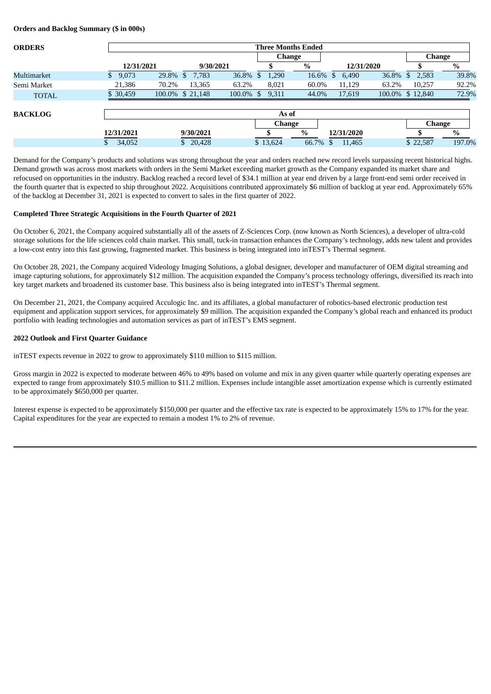**Orders and Backlog Summary (\$ in 000s)**

| <b>ORDERS</b>  |             | <b>Three Months Ended</b> |        |      |          |        |                        |            |                 |        |  |  |  |  |  |
|----------------|-------------|---------------------------|--------|------|----------|--------|------------------------|------------|-----------------|--------|--|--|--|--|--|
|                |             |                           |        |      |          | Change |                        |            | Change          |        |  |  |  |  |  |
|                | 12/31/2021  | 9/30/2021                 |        |      |          | %      |                        | 12/31/2020 |                 | $\%$   |  |  |  |  |  |
| Multimarket    | 9,073<br>S. | 7.783<br>29.8%<br>-S      | 36.8%  | S    | 1,290    | 16.6%  | 6,490<br><sup>\$</sup> | 36.8%      | 2,583<br>S      | 39.8%  |  |  |  |  |  |
| Semi Market    | 21,386      | 13,365<br>70.2%           | 63.2%  |      | 8,021    | 60.0%  | 11,129                 | 63.2%      | 10,257          | 92.2%  |  |  |  |  |  |
| <b>TOTAL</b>   | \$30,459    | 100.0% \$ 21,148          | 100.0% | - \$ | 9,311    | 44.0%  | 17,619                 |            | 100.0% \$12,840 | 72.9%  |  |  |  |  |  |
| <b>BACKLOG</b> |             |                           |        |      | As of    |        |                        |            |                 |        |  |  |  |  |  |
|                |             |                           |        |      | Change   |        |                        |            | <b>Change</b>   |        |  |  |  |  |  |
|                | 12/31/2021  | 9/30/2021                 |        |      |          | $\%$   | 12/31/2020             |            |                 | $\%$   |  |  |  |  |  |
|                | 34,052      | 20,428<br>\$              |        |      | \$13,624 | 66.7%  | 11,465                 |            | \$22,587        | 197.0% |  |  |  |  |  |

Demand for the Company's products and solutions was strong throughout the year and orders reached new record levels surpassing recent historical highs. Demand growth was across most markets with orders in the Semi Market exceeding market growth as the Company expanded its market share and refocused on opportunities in the industry. Backlog reached a record level of \$34.1 million at year end driven by a large front-end semi order received in the fourth quarter that is expected to ship throughout 2022. Acquisitions contributed approximately \$6 million of backlog at year end. Approximately 65% of the backlog at December 31, 2021 is expected to convert to sales in the first quarter of 2022.

#### **Completed Three Strategic Acquisitions in the Fourth Quarter of 2021**

On October 6, 2021, the Company acquired substantially all of the assets of Z-Sciences Corp. (now known as North Sciences), a developer of ultra-cold storage solutions for the life sciences cold chain market. This small, tuck-in transaction enhances the Company's technology, adds new talent and provides a low-cost entry into this fast growing, fragmented market. This business is being integrated into inTEST's Thermal segment.

On October 28, 2021, the Company acquired Videology Imaging Solutions, a global designer, developer and manufacturer of OEM digital streaming and image capturing solutions, for approximately \$12 million. The acquisition expanded the Company's process technology offerings, diversified its reach into key target markets and broadened its customer base. This business also is being integrated into inTEST's Thermal segment.

On December 21, 2021, the Company acquired Acculogic Inc. and its affiliates, a global manufacturer of robotics-based electronic production test equipment and application support services, for approximately \$9 million. The acquisition expanded the Company's global reach and enhanced its product portfolio with leading technologies and automation services as part of inTEST's EMS segment.

## **2022 Outlook and First Quarter Guidance**

inTEST expects revenue in 2022 to grow to approximately \$110 million to \$115 million.

Gross margin in 2022 is expected to moderate between 46% to 49% based on volume and mix in any given quarter while quarterly operating expenses are expected to range from approximately \$10.5 million to \$11.2 million. Expenses include intangible asset amortization expense which is currently estimated to be approximately \$650,000 per quarter.

Interest expense is expected to be approximately \$150,000 per quarter and the effective tax rate is expected to be approximately 15% to 17% for the year. Capital expenditures for the year are expected to remain a modest 1% to 2% of revenue.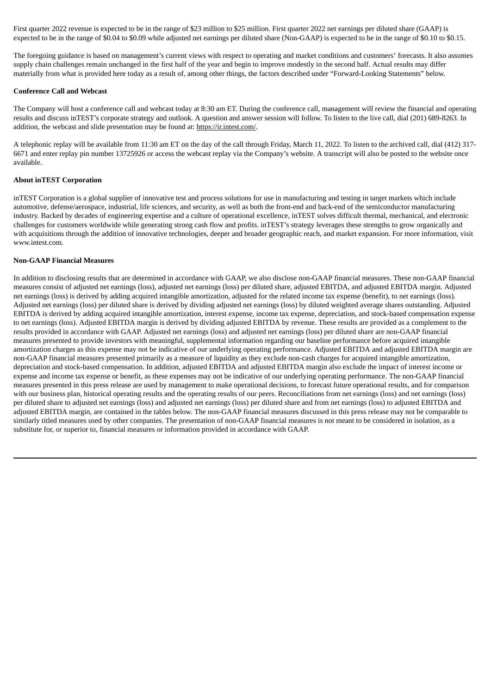First quarter 2022 revenue is expected to be in the range of \$23 million to \$25 million. First quarter 2022 net earnings per diluted share (GAAP) is expected to be in the range of \$0.04 to \$0.09 while adjusted net earnings per diluted share (Non-GAAP) is expected to be in the range of \$0.10 to \$0.15.

The foregoing guidance is based on management's current views with respect to operating and market conditions and customers' forecasts. It also assumes supply chain challenges remain unchanged in the first half of the year and begin to improve modestly in the second half. Actual results may differ materially from what is provided here today as a result of, among other things, the factors described under "Forward-Looking Statements" below.

## **Conference Call and Webcast**

The Company will host a conference call and webcast today at 8:30 am ET. During the conference call, management will review the financial and operating results and discuss inTEST's corporate strategy and outlook. A question and answer session will follow. To listen to the live call, dial (201) 689-8263. In addition, the webcast and slide presentation may be found at: https://ir.intest.com/.

A telephonic replay will be available from 11:30 am ET on the day of the call through Friday, March 11, 2022. To listen to the archived call, dial (412) 317- 6671 and enter replay pin number 13725926 or access the webcast replay via the Company's website. A transcript will also be posted to the website once available.

## **About inTEST Corporation**

inTEST Corporation is a global supplier of innovative test and process solutions for use in manufacturing and testing in target markets which include automotive, defense/aerospace, industrial, life sciences, and security, as well as both the front-end and back-end of the semiconductor manufacturing industry. Backed by decades of engineering expertise and a culture of operational excellence, inTEST solves difficult thermal, mechanical, and electronic challenges for customers worldwide while generating strong cash flow and profits. inTEST's strategy leverages these strengths to grow organically and with acquisitions through the addition of innovative technologies, deeper and broader geographic reach, and market expansion. For more information, visit www.intest.com.

## **Non-GAAP Financial Measures**

In addition to disclosing results that are determined in accordance with GAAP, we also disclose non-GAAP financial measures. These non-GAAP financial measures consist of adjusted net earnings (loss), adjusted net earnings (loss) per diluted share, adjusted EBITDA, and adjusted EBITDA margin. Adjusted net earnings (loss) is derived by adding acquired intangible amortization, adjusted for the related income tax expense (benefit), to net earnings (loss). Adjusted net earnings (loss) per diluted share is derived by dividing adjusted net earnings (loss) by diluted weighted average shares outstanding. Adjusted EBITDA is derived by adding acquired intangible amortization, interest expense, income tax expense, depreciation, and stock-based compensation expense to net earnings (loss). Adjusted EBITDA margin is derived by dividing adjusted EBITDA by revenue. These results are provided as a complement to the results provided in accordance with GAAP. Adjusted net earnings (loss) and adjusted net earnings (loss) per diluted share are non-GAAP financial measures presented to provide investors with meaningful, supplemental information regarding our baseline performance before acquired intangible amortization charges as this expense may not be indicative of our underlying operating performance. Adjusted EBITDA and adjusted EBITDA margin are non-GAAP financial measures presented primarily as a measure of liquidity as they exclude non-cash charges for acquired intangible amortization, depreciation and stock-based compensation. In addition, adjusted EBITDA and adjusted EBITDA margin also exclude the impact of interest income or expense and income tax expense or benefit, as these expenses may not be indicative of our underlying operating performance. The non-GAAP financial measures presented in this press release are used by management to make operational decisions, to forecast future operational results, and for comparison with our business plan, historical operating results and the operating results of our peers. Reconciliations from net earnings (loss) and net earnings (loss) per diluted share to adjusted net earnings (loss) and adjusted net earnings (loss) per diluted share and from net earnings (loss) to adjusted EBITDA and adjusted EBITDA margin, are contained in the tables below. The non-GAAP financial measures discussed in this press release may not be comparable to similarly titled measures used by other companies. The presentation of non-GAAP financial measures is not meant to be considered in isolation, as a substitute for, or superior to, financial measures or information provided in accordance with GAAP.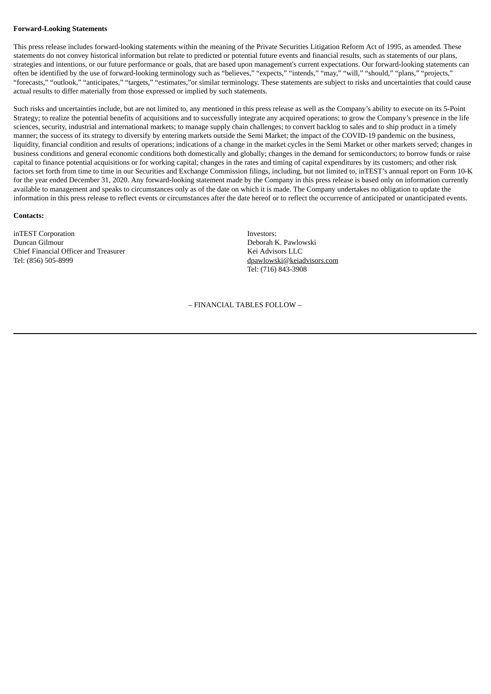#### **Forward-Looking Statements**

This press release includes forward-looking statements within the meaning of the Private Securities Litigation Reform Act of 1995, as amended. These statements do not convey historical information but relate to predicted or potential future events and financial results, such as statements of our plans, strategies and intentions, or our future performance or goals, that are based upon management's current expectations. Our forward-looking statements can often be identified by the use of forward-looking terminology such as "believes," "expects," "intends," "may," "will," "should," "plans," "projects," "forecasts," "outlook," "anticipates," "targets," "estimates,"or similar terminology. These statements are subject to risks and uncertainties that could cause actual results to differ materially from those expressed or implied by such statements.

Such risks and uncertainties include, but are not limited to, any mentioned in this press release as well as the Company's ability to execute on its 5-Point Strategy; to realize the potential benefits of acquisitions and to successfully integrate any acquired operations; to grow the Company's presence in the life sciences, security, industrial and international markets; to manage supply chain challenges; to convert backlog to sales and to ship product in a timely manner; the success of its strategy to diversify by entering markets outside the Semi Market; the impact of the COVID-19 pandemic on the business, liquidity, financial condition and results of operations; indications of a change in the market cycles in the Semi Market or other markets served; changes in business conditions and general economic conditions both domestically and globally; changes in the demand for semiconductors; to borrow funds or raise capital to finance potential acquisitions or for working capital; changes in the rates and timing of capital expenditures by its customers; and other risk factors set forth from time to time in our Securities and Exchange Commission filings, including, but not limited to, inTEST's annual report on Form 10-K for the year ended December 31, 2020. Any forward-looking statement made by the Company in this press release is based only on information currently available to management and speaks to circumstances only as of the date on which it is made. The Company undertakes no obligation to update the information in this press release to reflect events or circumstances after the date hereof or to reflect the occurrence of anticipated or unanticipated events.

#### **Contacts:**

inTEST Corporation **Investors:** Duncan Gilmour Deborah K. Pawlowski Chief Financial Officer and Treasurer **Kei Advisors LLC** Tel: (856) 505-8999 dpawlowski@keiadvisors.com

Tel: (716) 843-3908

– FINANCIAL TABLES FOLLOW –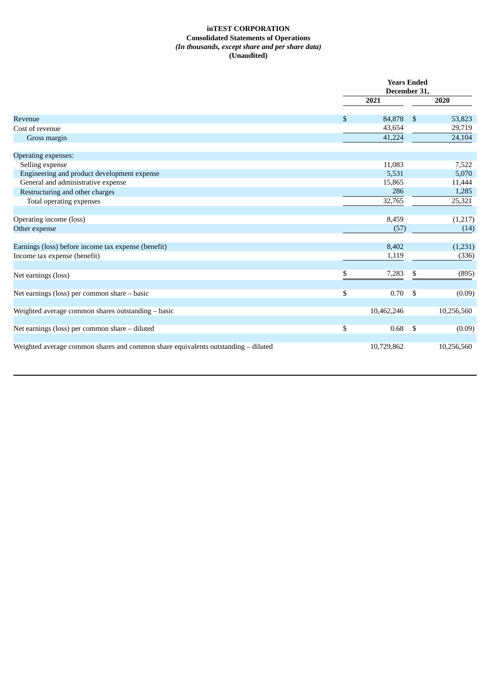## **inTEST CORPORATION Consolidated Statements of Operations** *(In thousands, except share and per share data)* **(Unaudited)**

|                                                                                   |    | <b>Years Ended</b><br>December 31, |                |            |  |  |
|-----------------------------------------------------------------------------------|----|------------------------------------|----------------|------------|--|--|
|                                                                                   |    | 2021                               |                | 2020       |  |  |
| Revenue                                                                           | \$ | 84,878                             | $\mathfrak{S}$ | 53,823     |  |  |
| Cost of revenue                                                                   |    | 43,654                             |                | 29,719     |  |  |
| Gross margin                                                                      |    | 41,224                             |                | 24,104     |  |  |
| Operating expenses:                                                               |    |                                    |                |            |  |  |
| Selling expense                                                                   |    | 11,083                             |                | 7,522      |  |  |
| Engineering and product development expense                                       |    | 5,531                              |                | 5,070      |  |  |
| General and administrative expense                                                |    | 15,865                             |                | 11,444     |  |  |
| Restructuring and other charges                                                   |    | 286                                |                | 1,285      |  |  |
| Total operating expenses                                                          |    | 32,765                             |                | 25,321     |  |  |
| Operating income (loss)                                                           |    | 8,459                              |                | (1, 217)   |  |  |
| Other expense                                                                     |    | (57)                               |                | (14)       |  |  |
| Earnings (loss) before income tax expense (benefit)                               |    | 8,402                              |                | (1,231)    |  |  |
| Income tax expense (benefit)                                                      |    | 1,119                              |                | (336)      |  |  |
| Net earnings (loss)                                                               | S  | 7,283                              |                | (895)      |  |  |
| Net earnings (loss) per common share - basic                                      | \$ | 0.70                               | \$             | (0.09)     |  |  |
| Weighted average common shares outstanding - basic                                |    | 10,462,246                         |                | 10,256,560 |  |  |
| Net earnings (loss) per common share - diluted                                    | \$ | 0.68                               | -\$            | (0.09)     |  |  |
| Weighted average common shares and common share equivalents outstanding - diluted |    | 10,729,862                         |                | 10,256,560 |  |  |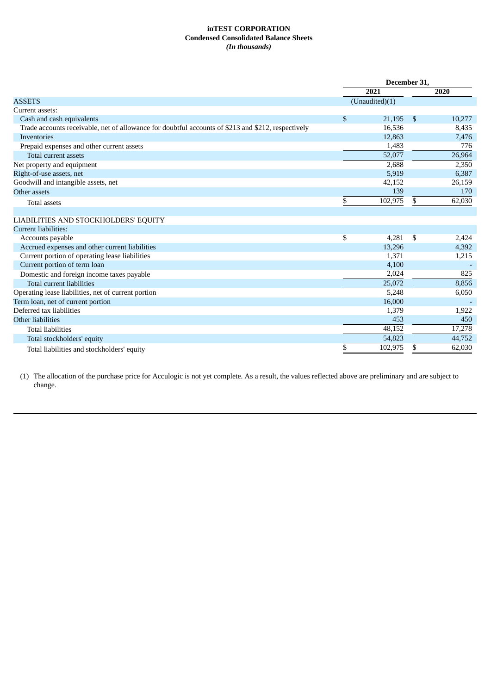## **inTEST CORPORATION Condensed Consolidated Balance Sheets** *(In thousands)*

|                                                                                                    | December 31, |                |     |        |  |
|----------------------------------------------------------------------------------------------------|--------------|----------------|-----|--------|--|
|                                                                                                    |              | 2021           |     | 2020   |  |
| <b>ASSETS</b>                                                                                      |              | (Unaudited)(1) |     |        |  |
| Current assets:                                                                                    |              |                |     |        |  |
| Cash and cash equivalents                                                                          | \$           | 21,195         | -\$ | 10,277 |  |
| Trade accounts receivable, net of allowance for doubtful accounts of \$213 and \$212, respectively |              | 16,536         |     | 8,435  |  |
| Inventories                                                                                        |              | 12,863         |     | 7,476  |  |
| Prepaid expenses and other current assets                                                          |              | 1.483          |     | 776    |  |
| <b>Total current assets</b>                                                                        |              | 52,077         |     | 26,964 |  |
| Net property and equipment                                                                         |              | 2,688          |     | 2,350  |  |
| Right-of-use assets, net                                                                           |              | 5,919          |     | 6,387  |  |
| Goodwill and intangible assets, net                                                                |              | 42,152         |     | 26,159 |  |
| Other assets                                                                                       |              | 139            |     | 170    |  |
| <b>Total assets</b>                                                                                | \$           | 102,975        | \$  | 62,030 |  |
|                                                                                                    |              |                |     |        |  |
| LIABILITIES AND STOCKHOLDERS' EQUITY                                                               |              |                |     |        |  |
| Current liabilities:                                                                               |              |                |     |        |  |
| Accounts payable                                                                                   | \$           | 4,281          | \$  | 2,424  |  |
| Accrued expenses and other current liabilities                                                     |              | 13,296         |     | 4,392  |  |
| Current portion of operating lease liabilities                                                     |              | 1,371          |     | 1,215  |  |
| Current portion of term loan                                                                       |              | 4,100          |     |        |  |
| Domestic and foreign income taxes payable                                                          |              | 2,024          |     | 825    |  |
| <b>Total current liabilities</b>                                                                   |              | 25,072         |     | 8,856  |  |
| Operating lease liabilities, net of current portion                                                |              | 5,248          |     | 6,050  |  |
| Term loan, net of current portion                                                                  |              | 16,000         |     |        |  |
| Deferred tax liabilities                                                                           |              | 1,379          |     | 1,922  |  |
| Other liabilities                                                                                  |              | 453            |     | 450    |  |
| <b>Total liabilities</b>                                                                           |              | 48,152         |     | 17,278 |  |
| Total stockholders' equity                                                                         |              | 54,823         |     | 44,752 |  |
| Total liabilities and stockholders' equity                                                         | \$           | 102,975        | \$  | 62,030 |  |

(1) The allocation of the purchase price for Acculogic is not yet complete. As a result, the values reflected above are preliminary and are subject to change.